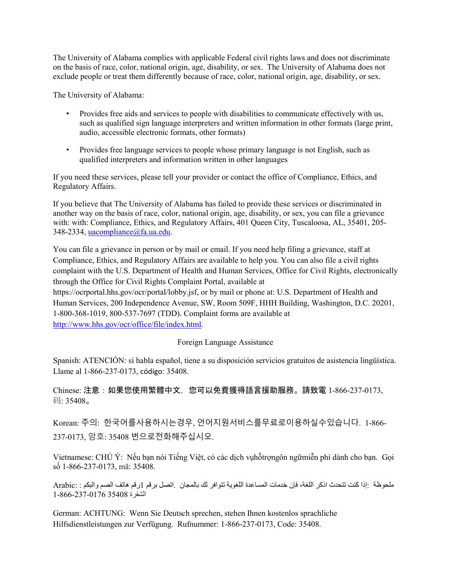The University of Alabama complies with applicable Federal civil rights laws and does not discriminate on the basis of race, color, national origin, age, disability, or sex. The University of Alabama does not exclude people or treat them differently because of race, color, national origin, age, disability, or sex.

The University of Alabama:

- Provides free aids and services to people with disabilities to communicate effectively with us, such as qualified sign language interpreters and written information in other formats (large print, audio, accessible electronic formats, other formats)
- Provides free language services to people whose primary language is not English, such as qualified interpreters and information written in other languages

If you need these services, please tell your provider or contact the office of Compliance, Ethics, and Regulatory Affairs.

If you believe that The University of Alabama has failed to provide these services or discriminated in another way on the basis of race, color, national origin, age, disability, or sex, you can file a grievance with: with: Compliance, Ethics, and Regulatory Affairs, 401 Queen City, Tuscaloosa, AL, 35401, 205- 348-2334, [uacompliance@fa.ua.edu.](mailto:uacompliance@fa.ua.edu)

You can file a grievance in person or by mail or email. If you need help filing a grievance, staff at Compliance, Ethics, and Regulatory Affairs are available to help you. You can also file a civil rights complaint with the U.S. Department of Health and Human Services, Office for Civil Rights, electronically through the Office for Civil Rights Complaint Portal, available at https://ocrportal.hhs.gov/ocr/portal/lobby.jsf, or by mail or phone at: U.S. Department of Health and

Human Services, 200 Independence Avenue, SW, Room 509F, HHH Building, Washington, D.C. 20201, 1-800-368-1019, 800-537-7697 (TDD). Complaint forms are available at [http://www.hhs.gov/ocr/office/file/index.html.](http://www.hhs.gov/ocr/office/file/index.html)

Foreign Language Assistance

Spanish: ATENCIÓN: si habla español, tiene a su disposición servicios gratuitos de asistencia lingüística. Llame al 1-866-237-0173, código: 35408.

Chinese: 注意:如果您使用繁體中文,您可以免費獲得語言援助服務。請致電 1-866-237-0173, 码: 35408。

Korean: 주의: 한국어를사용하시는경우, 언어지원서비스를무료로이용하실수있습니다. 1-866- 237-0173, 암호: 35408 번으로전화해주십시오.

Vietnamese: CHÚ Ý: Nếu bạn nói Tiếng Việt, có các dịch vụhỗtrợngôn ngữmiễn phí dành cho bạn. Gọi số 1-866-237-0173, mã: 35408.

ملحوظة :إذا كنت تتحدث اذكر اللغة، فإن خدمات المساعدة اللغویة تتوافر لك بالمجان .اتصل برقم 1رقم ھاتف الصم والبكم : :Arabic الشفرة 35408 1-866-237-0176

German: ACHTUNG: Wenn Sie Deutsch sprechen, stehen Ihnen kostenlos sprachliche Hilfsdienstleistungen zur Verfügung. Rufnummer: 1-866-237-0173, Code: 35408.